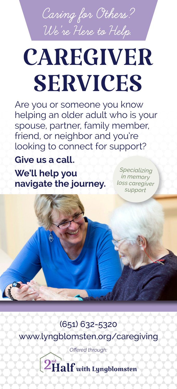**Caring for Others? We're Here to Help.**

## **CAREGIVER SERVICES**

Are you or someone you know helping an older adult who is your spouse, partner, family member, friend, or neighbor and you're looking to connect for support?

**Give us a call. We'll help you navigate the journey.**

*Specializing in memory loss caregiver support*

(651) 632-5320 www.lyngblomsten.org/caregiving

*Offered through:*

 $\left( 2\mathbf{H}\mathbf{a}\mathbf{I}\mathbf{f} \right)$  with Lyngblomsten